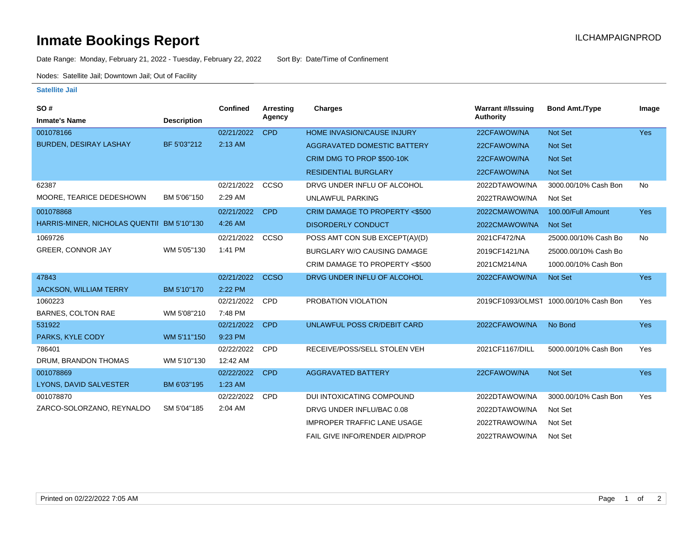## **Inmate Bookings Report Installation ILCHAMPAIGNPROD**

Date Range: Monday, February 21, 2022 - Tuesday, February 22, 2022 Sort By: Date/Time of Confinement

Nodes: Satellite Jail; Downtown Jail; Out of Facility

## **Satellite Jail**

| SO#                                        |                    | <b>Confined</b> | Arresting   | <b>Charges</b>                           | <b>Warrant #/Issuing</b> | <b>Bond Amt./Type</b>                 | Image      |
|--------------------------------------------|--------------------|-----------------|-------------|------------------------------------------|--------------------------|---------------------------------------|------------|
| <b>Inmate's Name</b>                       | <b>Description</b> |                 | Agency      |                                          | <b>Authority</b>         |                                       |            |
| 001078166                                  |                    | 02/21/2022      | <b>CPD</b>  | <b>HOME INVASION/CAUSE INJURY</b>        | 22CFAWOW/NA              | Not Set                               | <b>Yes</b> |
| <b>BURDEN, DESIRAY LASHAY</b>              | BF 5'03"212        | 2:13 AM         |             | AGGRAVATED DOMESTIC BATTERY              | 22CFAWOW/NA              | Not Set                               |            |
|                                            |                    |                 |             | CRIM DMG TO PROP \$500-10K               | 22CFAWOW/NA              | Not Set                               |            |
|                                            |                    |                 |             | <b>RESIDENTIAL BURGLARY</b>              | 22CFAWOW/NA              | Not Set                               |            |
| 62387                                      |                    | 02/21/2022      | CCSO        | DRVG UNDER INFLU OF ALCOHOL              | 2022DTAWOW/NA            | 3000.00/10% Cash Bon                  | <b>No</b>  |
| MOORE, TEARICE DEDESHOWN                   | BM 5'06"150        | 2:29 AM         |             | <b>UNLAWFUL PARKING</b>                  | 2022TRAWOW/NA            | Not Set                               |            |
| 001078868                                  |                    | 02/21/2022      | <b>CPD</b>  | <b>CRIM DAMAGE TO PROPERTY &lt;\$500</b> | 2022CMAWOW/NA            | 100.00/Full Amount                    | <b>Yes</b> |
| HARRIS-MINER, NICHOLAS QUENTII BM 5'10"130 |                    | 4:26 AM         |             | <b>DISORDERLY CONDUCT</b>                | 2022CMAWOW/NA            | <b>Not Set</b>                        |            |
| 1069726                                    |                    | 02/21/2022      | <b>CCSO</b> | POSS AMT CON SUB EXCEPT(A)/(D)           | 2021CF472/NA             | 25000.00/10% Cash Bo                  | No         |
| <b>GREER, CONNOR JAY</b>                   | WM 5'05"130        | 1:41 PM         |             | BURGLARY W/O CAUSING DAMAGE              | 2019CF1421/NA            | 25000.00/10% Cash Bo                  |            |
|                                            |                    |                 |             | CRIM DAMAGE TO PROPERTY <\$500           | 2021CM214/NA             | 1000.00/10% Cash Bon                  |            |
| 47843                                      |                    | 02/21/2022      | <b>CCSO</b> | DRVG UNDER INFLU OF ALCOHOL              | 2022CFAWOW/NA            | Not Set                               | <b>Yes</b> |
| <b>JACKSON, WILLIAM TERRY</b>              | BM 5'10"170        | 2:22 PM         |             |                                          |                          |                                       |            |
| 1060223                                    |                    | 02/21/2022      | <b>CPD</b>  | PROBATION VIOLATION                      |                          | 2019CF1093/OLMST 1000.00/10% Cash Bon | Yes        |
| <b>BARNES, COLTON RAE</b>                  | WM 5'08"210        | 7:48 PM         |             |                                          |                          |                                       |            |
| 531922                                     |                    | 02/21/2022      | <b>CPD</b>  | UNLAWFUL POSS CR/DEBIT CARD              | 2022CFAWOW/NA            | No Bond                               | <b>Yes</b> |
| PARKS, KYLE CODY                           | WM 5'11"150        | 9:23 PM         |             |                                          |                          |                                       |            |
| 786401                                     |                    | 02/22/2022      | CPD         | RECEIVE/POSS/SELL STOLEN VEH             | 2021CF1167/DILL          | 5000.00/10% Cash Bon                  | Yes        |
| DRUM, BRANDON THOMAS                       | WM 5'10"130        | 12:42 AM        |             |                                          |                          |                                       |            |
| 001078869                                  |                    | 02/22/2022      | <b>CPD</b>  | <b>AGGRAVATED BATTERY</b>                | 22CFAWOW/NA              | Not Set                               | <b>Yes</b> |
| LYONS, DAVID SALVESTER                     | BM 6'03"195        | 1:23 AM         |             |                                          |                          |                                       |            |
| 001078870                                  |                    | 02/22/2022      | <b>CPD</b>  | DUI INTOXICATING COMPOUND                | 2022DTAWOW/NA            | 3000.00/10% Cash Bon                  | Yes        |
| ZARCO-SOLORZANO, REYNALDO                  | SM 5'04"185        | 2:04 AM         |             | DRVG UNDER INFLU/BAC 0.08                | 2022DTAWOW/NA            | Not Set                               |            |
|                                            |                    |                 |             | <b>IMPROPER TRAFFIC LANE USAGE</b>       | 2022TRAWOW/NA            | Not Set                               |            |
|                                            |                    |                 |             | FAIL GIVE INFO/RENDER AID/PROP           | 2022TRAWOW/NA            | Not Set                               |            |